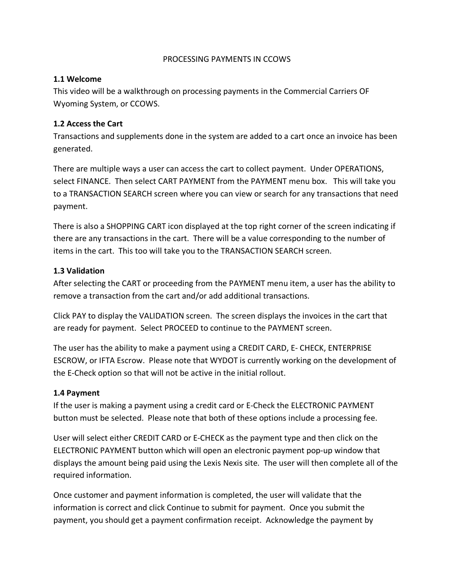## PROCESSING PAYMENTS IN CCOWS

# **1.1 Welcome**

This video will be a walkthrough on processing payments in the Commercial Carriers OF Wyoming System, or CCOWS.

# **1.2 Access the Cart**

Transactions and supplements done in the system are added to a cart once an invoice has been generated.

There are multiple ways a user can access the cart to collect payment. Under OPERATIONS, select FINANCE. Then select CART PAYMENT from the PAYMENT menu box. This will take you to a TRANSACTION SEARCH screen where you can view or search for any transactions that need payment.

There is also a SHOPPING CART icon displayed at the top right corner of the screen indicating if there are any transactions in the cart. There will be a value corresponding to the number of items in the cart. This too will take you to the TRANSACTION SEARCH screen.

# **1.3 Validation**

After selecting the CART or proceeding from the PAYMENT menu item, a user has the ability to remove a transaction from the cart and/or add additional transactions.

Click PAY to display the VALIDATION screen. The screen displays the invoices in the cart that are ready for payment. Select PROCEED to continue to the PAYMENT screen.

The user has the ability to make a payment using a CREDIT CARD, E- CHECK, ENTERPRISE ESCROW, or IFTA Escrow. Please note that WYDOT is currently working on the development of the E-Check option so that will not be active in the initial rollout.

# **1.4 Payment**

If the user is making a payment using a credit card or E-Check the ELECTRONIC PAYMENT button must be selected. Please note that both of these options include a processing fee.

User will select either CREDIT CARD or E-CHECK as the payment type and then click on the ELECTRONIC PAYMENT button which will open an electronic payment pop-up window that displays the amount being paid using the Lexis Nexis site. The user will then complete all of the required information.

Once customer and payment information is completed, the user will validate that the information is correct and click Continue to submit for payment. Once you submit the payment, you should get a payment confirmation receipt. Acknowledge the payment by